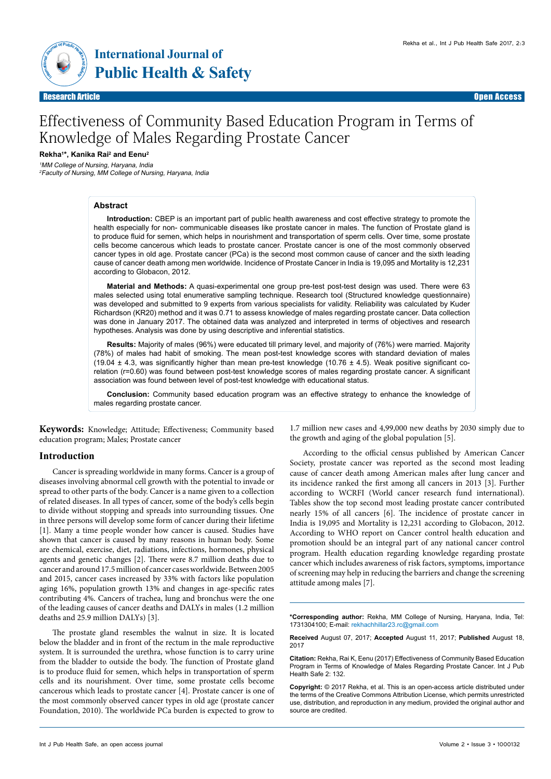

Research Article Research Article Open Access



# Effectiveness of Community Based Education Program in Terms of Knowledge of Males Regarding Prostate Cancer

## **Rekha1\*, Kanika Rai2 and Eenu2**

1MM College of Nursing, Haryana, India 2Faculty of Nursing, MM College of Nursing, Haryana, India

## **Abstract**

**Introduction:** CBEP is an important part of public health awareness and cost effective strategy to promote the health especially for non- communicable diseases like prostate cancer in males. The function of Prostate gland is to produce fluid for semen, which helps in nourishment and transportation of sperm cells. Over time, some prostate cells become cancerous which leads to prostate cancer. Prostate cancer is one of the most commonly observed cancer types in old age. Prostate cancer (PCa) is the second most common cause of cancer and the sixth leading cause of cancer death among men worldwide. Incidence of Prostate Cancer in India is 19,095 and Mortality is 12,231 according to Globacon, 2012.

**Material and Methods:** A quasi-experimental one group pre-test post-test design was used. There were 63 males selected using total enumerative sampling technique. Research tool (Structured knowledge questionnaire) was developed and submitted to 9 experts from various specialists for validity. Reliability was calculated by Kuder Richardson (KR20) method and it was 0.71 to assess knowledge of males regarding prostate cancer. Data collection was done in January 2017. The obtained data was analyzed and interpreted in terms of objectives and research hypotheses. Analysis was done by using descriptive and inferential statistics.

**Results:** Majority of males (96%) were educated till primary level, and majority of (76%) were married. Majority (78%) of males had habit of smoking. The mean post-test knowledge scores with standard deviation of males (19.04  $\pm$  4.3, was significantly higher than mean pre-test knowledge (10.76  $\pm$  4.5). Weak positive significant corelation (r=0.60) was found between post-test knowledge scores of males regarding prostate cancer. A significant association was found between level of post-test knowledge with educational status.

**Conclusion:** Community based education program was an effective strategy to enhance the knowledge of males regarding prostate cancer.

**Keywords:** Knowledge; Attitude; Effectiveness; Community based education program; Males; Prostate cancer

## **Introduction**

Cancer is spreading worldwide in many forms. Cancer is a group of diseases involving abnormal cell growth with the potential to invade or spread to other parts of the body. Cancer is a name given to a collection of related diseases. In all types of cancer, some of the body's cells begin to divide without stopping and spreads into surrounding tissues. One in three persons will develop some form of cancer during their lifetime [1]. Many a time people wonder how cancer is caused. Studies have shown that cancer is caused by many reasons in human body. Some are chemical, exercise, diet, radiations, infections, hormones, physical agents and genetic changes [2]. There were 8.7 million deaths due to cancer and around 17.5 million of cancer cases worldwide. Between 2005 and 2015, cancer cases increased by 33% with factors like population aging 16%, population growth 13% and changes in age-specific rates contributing 4%. Cancers of trachea, lung and bronchus were the one of the leading causes of cancer deaths and DALYs in males (1.2 million deaths and 25.9 million DALYs) [3].

The prostate gland resembles the walnut in size. It is located below the bladder and in front of the rectum in the male reproductive system. It is surrounded the urethra, whose function is to carry urine from the bladder to outside the body. The function of Prostate gland is to produce fluid for semen, which helps in transportation of sperm cells and its nourishment. Over time, some prostate cells become cancerous which leads to prostate cancer [4]. Prostate cancer is one of the most commonly observed cancer types in old age (prostate cancer Foundation, 2010). The worldwide PCa burden is expected to grow to

1.7 million new cases and 4,99,000 new deaths by 2030 simply due to the growth and aging of the global population [5].

According to the official census published by American Cancer Society, prostate cancer was reported as the second most leading cause of cancer death among American males after lung cancer and its incidence ranked the first among all cancers in 2013 [3]. Further according to WCRFI (World cancer research fund international). Tables show the top second most leading prostate cancer contributed nearly 15% of all cancers [6]. The incidence of prostate cancer in India is 19,095 and Mortality is 12,231 according to Globacon, 2012. According to WHO report on Cancer control health education and promotion should be an integral part of any national cancer control program. Health education regarding knowledge regarding prostate cancer which includes awareness of risk factors, symptoms, importance of screening may help in reducing the barriers and change the screening attitude among males [7].

**\*Corresponding author:** Rekha, MM College of Nursing, Haryana, India, Tel: 1731304100; E-mail: rekhachhillar23.rc@gmail.com

**Received** August 07, 2017; **Accepted** August 11, 2017; **Published** August 18, 2017

**Citation:** Rekha, Rai K, Eenu (2017) Effectiveness of Community Based Education Program in Terms of Knowledge of Males Regarding Prostate Cancer. Int J Pub Health Safe 2: 132.

**Copyright:** © 2017 Rekha, et al. This is an open-access article distributed under the terms of the Creative Commons Attribution License, which permits unrestricted use, distribution, and reproduction in any medium, provided the original author and source are credited.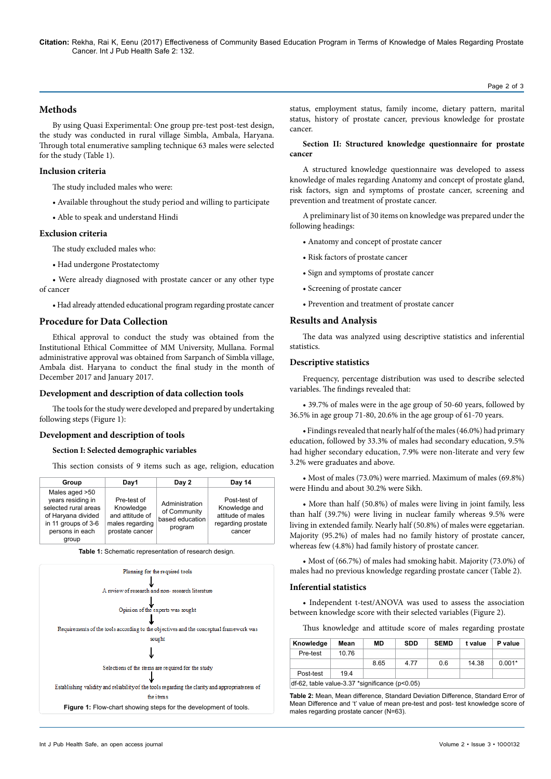**Citation:** Rekha, Rai K, Eenu (2017) Effectiveness of Community Based Education Program in Terms of Knowledge of Males Regarding Prostate Cancer. Int J Pub Health Safe 2: 132.

#### Page 2 of 3

# **Methods**

By using Quasi Experimental: One group pre-test post-test design, the study was conducted in rural village Simbla, Ambala, Haryana. Through total enumerative sampling technique 63 males were selected for the study (Table 1).

## **Inclusion criteria**

The study included males who were:

- Available throughout the study period and willing to participate
- Able to speak and understand Hindi

#### **Exclusion criteria**

The study excluded males who:

• Had undergone Prostatectomy

• Were already diagnosed with prostate cancer or any other type of cancer

• Had already attended educational program regarding prostate cancer

## **Procedure for Data Collection**

Ethical approval to conduct the study was obtained from the Institutional Ethical Committee of MM University, Mullana. Formal administrative approval was obtained from Sarpanch of Simbla village, Ambala dist. Haryana to conduct the final study in the month of December 2017 and January 2017.

#### **Development and description of data collection tools**

The tools for the study were developed and prepared by undertaking following steps (Figure 1):

## **Development and description of tools**

## **Section I: Selected demographic variables**

This section consists of 9 items such as age, religion, education

| Group                                                                                                                                | Day1                                                                              | Day 2                                                        | <b>Day 14</b>                                                                      |
|--------------------------------------------------------------------------------------------------------------------------------------|-----------------------------------------------------------------------------------|--------------------------------------------------------------|------------------------------------------------------------------------------------|
| Males aged >50<br>years residing in<br>selected rural areas<br>of Haryana divided<br>in 11 groups of 3-6<br>persons in each<br>group | Pre-test of<br>Knowledge<br>and attitude of<br>males regarding<br>prostate cancer | Administration<br>of Community<br>based education<br>program | Post-test of<br>Knowledge and<br>attitude of males<br>regarding prostate<br>cancer |

**Table 1:** Schematic representation of research design.



status, employment status, family income, dietary pattern, marital status, history of prostate cancer, previous knowledge for prostate cancer.

#### **Section II: Structured knowledge questionnaire for prostate cancer**

A structured knowledge questionnaire was developed to assess knowledge of males regarding Anatomy and concept of prostate gland, risk factors, sign and symptoms of prostate cancer, screening and prevention and treatment of prostate cancer.

A preliminary list of 30 items on knowledge was prepared under the following headings:

- Anatomy and concept of prostate cancer
- Risk factors of prostate cancer
- Sign and symptoms of prostate cancer
- Screening of prostate cancer
- Prevention and treatment of prostate cancer

#### **Results and Analysis**

The data was analyzed using descriptive statistics and inferential statistics.

#### **Descriptive statistics**

Frequency, percentage distribution was used to describe selected variables. The findings revealed that:

• 39.7% of males were in the age group of 50-60 years, followed by 36.5% in age group 71-80, 20.6% in the age group of 61-70 years.

• Findings revealed that nearly half of the males (46.0%) had primary education, followed by 33.3% of males had secondary education, 9.5% had higher secondary education, 7.9% were non-literate and very few 3.2% were graduates and above.

• Most of males (73.0%) were married. Maximum of males (69.8%) were Hindu and about 30.2% were Sikh.

• More than half (50.8%) of males were living in joint family, less than half (39.7%) were living in nuclear family whereas 9.5% were living in extended family. Nearly half (50.8%) of males were eggetarian. Majority (95.2%) of males had no family history of prostate cancer, whereas few (4.8%) had family history of prostate cancer.

• Most of (66.7%) of males had smoking habit. Majority (73.0%) of males had no previous knowledge regarding prostate cancer (Table 2).

#### **Inferential statistics**

• Independent t-test/ANOVA was used to assess the association between knowledge score with their selected variables (Figure 2).

Thus knowledge and attitude score of males regarding prostate

| Knowledge                                      | Mean  | MD   | <b>SDD</b> | <b>SEMD</b> | t value | P value  |  |
|------------------------------------------------|-------|------|------------|-------------|---------|----------|--|
| Pre-test                                       | 10.76 |      |            |             |         |          |  |
|                                                |       | 8.65 | 4 7 7      | 0.6         | 14 38   | $0.001*$ |  |
| Post-test                                      | 194   |      |            |             |         |          |  |
| df-62, table value-3.37 *significance (p<0.05) |       |      |            |             |         |          |  |

**Table 2:** Mean, Mean difference, Standard Deviation Difference, Standard Error of Mean Difference and 't' value of mean pre-test and post- test knowledge score of males regarding prostate cancer (N=63).